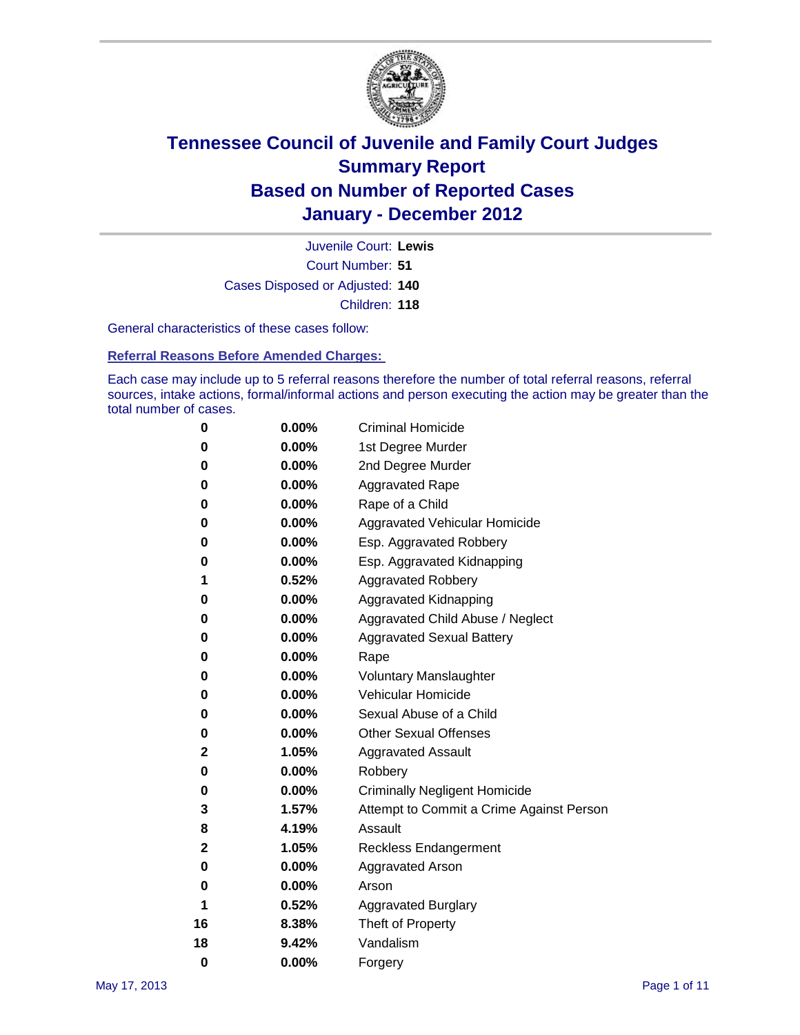

Court Number: **51** Juvenile Court: **Lewis** Cases Disposed or Adjusted: **140** Children: **118**

General characteristics of these cases follow:

**Referral Reasons Before Amended Charges:** 

Each case may include up to 5 referral reasons therefore the number of total referral reasons, referral sources, intake actions, formal/informal actions and person executing the action may be greater than the total number of cases.

| 0  | 0.00%    | <b>Criminal Homicide</b>                 |
|----|----------|------------------------------------------|
| 0  | 0.00%    | 1st Degree Murder                        |
| 0  | 0.00%    | 2nd Degree Murder                        |
| 0  | 0.00%    | <b>Aggravated Rape</b>                   |
| 0  | 0.00%    | Rape of a Child                          |
| 0  | 0.00%    | Aggravated Vehicular Homicide            |
| 0  | 0.00%    | Esp. Aggravated Robbery                  |
| 0  | 0.00%    | Esp. Aggravated Kidnapping               |
| 1  | 0.52%    | <b>Aggravated Robbery</b>                |
| 0  | 0.00%    | Aggravated Kidnapping                    |
| 0  | 0.00%    | Aggravated Child Abuse / Neglect         |
| 0  | $0.00\%$ | <b>Aggravated Sexual Battery</b>         |
| 0  | 0.00%    | Rape                                     |
| 0  | 0.00%    | <b>Voluntary Manslaughter</b>            |
| 0  | 0.00%    | Vehicular Homicide                       |
| 0  | 0.00%    | Sexual Abuse of a Child                  |
| 0  | 0.00%    | <b>Other Sexual Offenses</b>             |
| 2  | 1.05%    | <b>Aggravated Assault</b>                |
| 0  | $0.00\%$ | Robbery                                  |
| 0  | 0.00%    | <b>Criminally Negligent Homicide</b>     |
| 3  | 1.57%    | Attempt to Commit a Crime Against Person |
| 8  | 4.19%    | Assault                                  |
| 2  | 1.05%    | <b>Reckless Endangerment</b>             |
| 0  | 0.00%    | <b>Aggravated Arson</b>                  |
| 0  | 0.00%    | Arson                                    |
| 1  | 0.52%    | <b>Aggravated Burglary</b>               |
| 16 | 8.38%    | Theft of Property                        |
| 18 | 9.42%    | Vandalism                                |
| 0  | 0.00%    | Forgery                                  |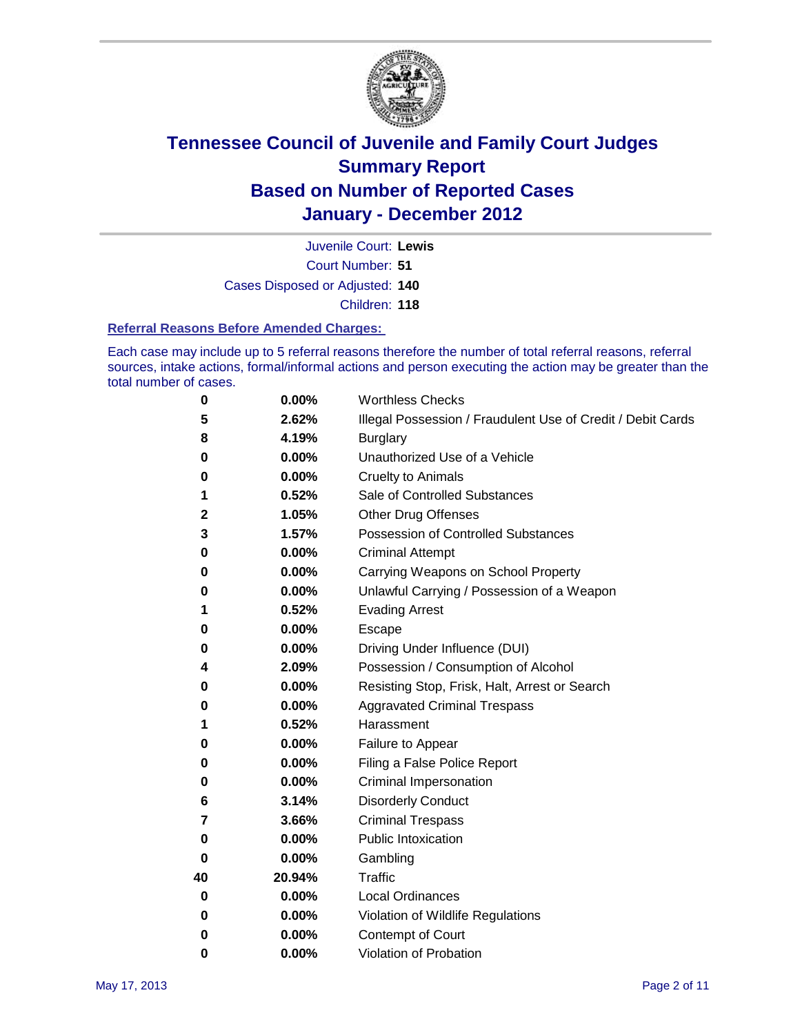

Court Number: **51** Juvenile Court: **Lewis** Cases Disposed or Adjusted: **140**

Children: **118**

#### **Referral Reasons Before Amended Charges:**

Each case may include up to 5 referral reasons therefore the number of total referral reasons, referral sources, intake actions, formal/informal actions and person executing the action may be greater than the total number of cases.

| 0  | 0.00%  | <b>Worthless Checks</b>                                     |
|----|--------|-------------------------------------------------------------|
| 5  | 2.62%  | Illegal Possession / Fraudulent Use of Credit / Debit Cards |
| 8  | 4.19%  | <b>Burglary</b>                                             |
| 0  | 0.00%  | Unauthorized Use of a Vehicle                               |
| 0  | 0.00%  | <b>Cruelty to Animals</b>                                   |
| 1  | 0.52%  | Sale of Controlled Substances                               |
| 2  | 1.05%  | <b>Other Drug Offenses</b>                                  |
| 3  | 1.57%  | <b>Possession of Controlled Substances</b>                  |
| 0  | 0.00%  | <b>Criminal Attempt</b>                                     |
| 0  | 0.00%  | Carrying Weapons on School Property                         |
| 0  | 0.00%  | Unlawful Carrying / Possession of a Weapon                  |
| 1  | 0.52%  | <b>Evading Arrest</b>                                       |
| 0  | 0.00%  | Escape                                                      |
| 0  | 0.00%  | Driving Under Influence (DUI)                               |
| 4  | 2.09%  | Possession / Consumption of Alcohol                         |
| 0  | 0.00%  | Resisting Stop, Frisk, Halt, Arrest or Search               |
| 0  | 0.00%  | <b>Aggravated Criminal Trespass</b>                         |
| 1  | 0.52%  | Harassment                                                  |
| 0  | 0.00%  | Failure to Appear                                           |
| 0  | 0.00%  | Filing a False Police Report                                |
| 0  | 0.00%  | Criminal Impersonation                                      |
| 6  | 3.14%  | <b>Disorderly Conduct</b>                                   |
| 7  | 3.66%  | <b>Criminal Trespass</b>                                    |
| 0  | 0.00%  | <b>Public Intoxication</b>                                  |
| 0  | 0.00%  | Gambling                                                    |
| 40 | 20.94% | <b>Traffic</b>                                              |
| 0  | 0.00%  | <b>Local Ordinances</b>                                     |
| 0  | 0.00%  | Violation of Wildlife Regulations                           |
| 0  | 0.00%  | Contempt of Court                                           |
| 0  | 0.00%  | Violation of Probation                                      |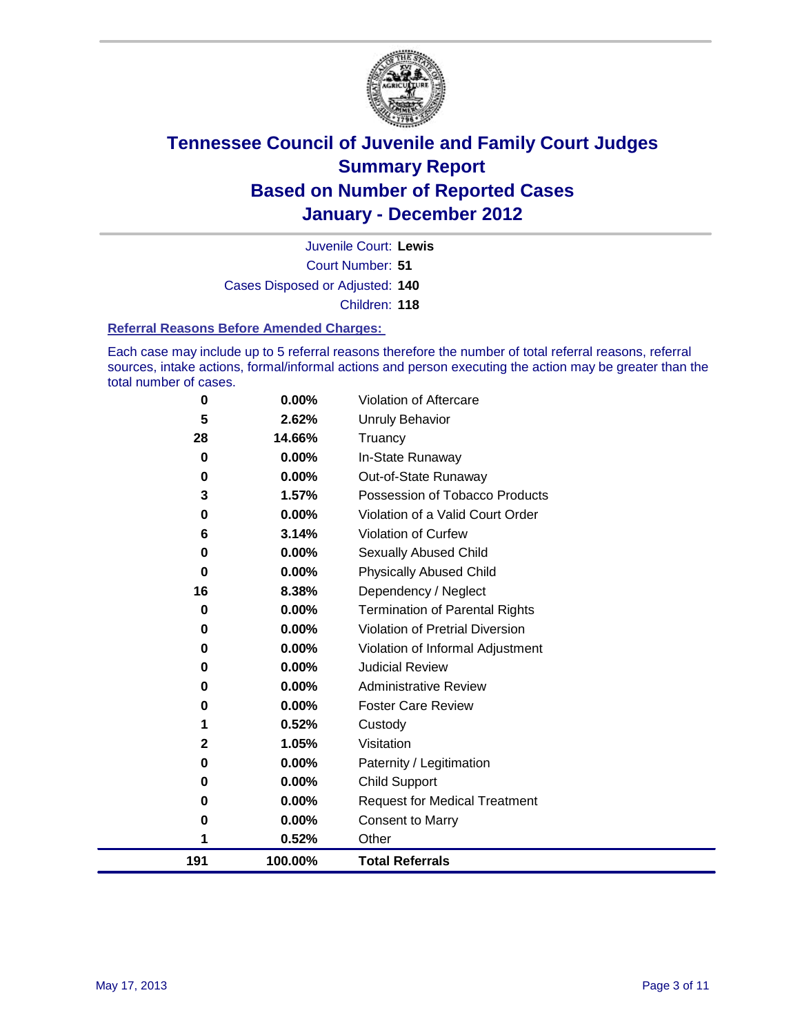

Court Number: **51** Juvenile Court: **Lewis** Cases Disposed or Adjusted: **140** Children: **118**

#### **Referral Reasons Before Amended Charges:**

Each case may include up to 5 referral reasons therefore the number of total referral reasons, referral sources, intake actions, formal/informal actions and person executing the action may be greater than the total number of cases.

| 3        | 1.57%    | Possession of Tobacco Products         |
|----------|----------|----------------------------------------|
| 0        | 0.00%    | Violation of a Valid Court Order       |
| 6        | 3.14%    | <b>Violation of Curfew</b>             |
| 0        | $0.00\%$ | Sexually Abused Child                  |
| $\bf{0}$ | $0.00\%$ | <b>Physically Abused Child</b>         |
| 16       | 8.38%    | Dependency / Neglect                   |
| $\bf{0}$ | 0.00%    | Termination of Parental Rights         |
| 0        | $0.00\%$ | <b>Violation of Pretrial Diversion</b> |
| 0        | 0.00%    | Violation of Informal Adjustment       |
| 0        | 0.00%    | <b>Judicial Review</b>                 |
| 0        | $0.00\%$ | <b>Administrative Review</b>           |
| 0        | $0.00\%$ | <b>Foster Care Review</b>              |
| 1        | 0.52%    | Custody                                |
| 2        | 1.05%    | Visitation                             |
| 0        | 0.00%    | Paternity / Legitimation               |
| 0        | 0.00%    | <b>Child Support</b>                   |
| 0        | 0.00%    | <b>Request for Medical Treatment</b>   |
| 0        | 0.00%    | <b>Consent to Marry</b>                |
| 1        | 0.52%    | Other                                  |
| 191      | 100.00%  | <b>Total Referrals</b>                 |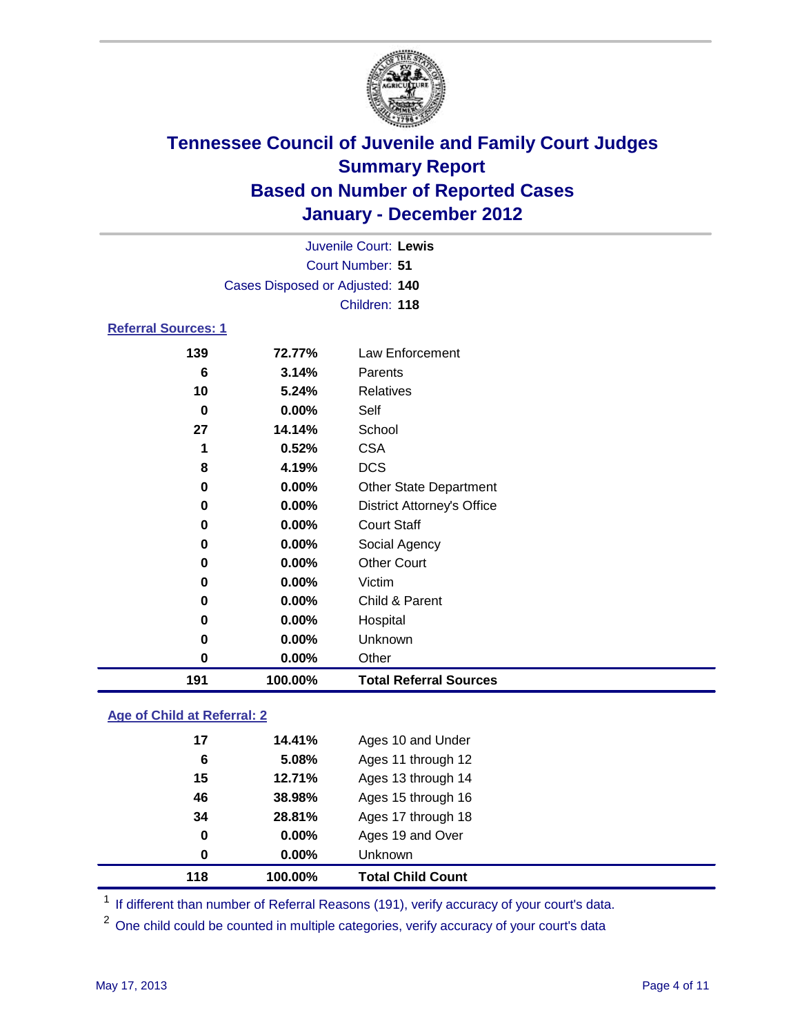

|                            |                                 | Juvenile Court: Lewis             |  |
|----------------------------|---------------------------------|-----------------------------------|--|
|                            |                                 | <b>Court Number: 51</b>           |  |
|                            | Cases Disposed or Adjusted: 140 |                                   |  |
|                            |                                 | Children: 118                     |  |
| <b>Referral Sources: 1</b> |                                 |                                   |  |
| 139                        | 72.77%                          | <b>Law Enforcement</b>            |  |
| 6                          | 3.14%                           | Parents                           |  |
| 10                         | 5.24%                           | <b>Relatives</b>                  |  |
| $\bf{0}$                   | 0.00%                           | Self                              |  |
| 27                         | 14.14%                          | School                            |  |
| 1                          | 0.52%                           | <b>CSA</b>                        |  |
| 8                          | 4.19%                           | <b>DCS</b>                        |  |
| 0                          | 0.00%                           | <b>Other State Department</b>     |  |
| 0                          | 0.00%                           | <b>District Attorney's Office</b> |  |
| 0                          | 0.00%                           | <b>Court Staff</b>                |  |
| 0                          | $0.00\%$                        | Social Agency                     |  |
| 0                          | 0.00%                           | <b>Other Court</b>                |  |
| 0                          | 0.00%                           | Victim                            |  |
| 0                          | 0.00%                           | Child & Parent                    |  |
| 0                          | $0.00\%$                        | Hospital                          |  |
| 0                          | 0.00%                           | Unknown                           |  |
| 0                          | 0.00%                           | Other                             |  |
| 191                        | 100.00%                         | <b>Total Referral Sources</b>     |  |
|                            |                                 |                                   |  |

### **Age of Child at Referral: 2**

| 0  | $0.00\%$ | Unknown            |
|----|----------|--------------------|
| 0  | 0.00%    | Ages 19 and Over   |
| 34 | 28.81%   | Ages 17 through 18 |
| 46 | 38.98%   | Ages 15 through 16 |
| 15 | 12.71%   | Ages 13 through 14 |
| 6  | 5.08%    | Ages 11 through 12 |
| 17 | 14.41%   | Ages 10 and Under  |
|    |          |                    |

<sup>1</sup> If different than number of Referral Reasons (191), verify accuracy of your court's data.

<sup>2</sup> One child could be counted in multiple categories, verify accuracy of your court's data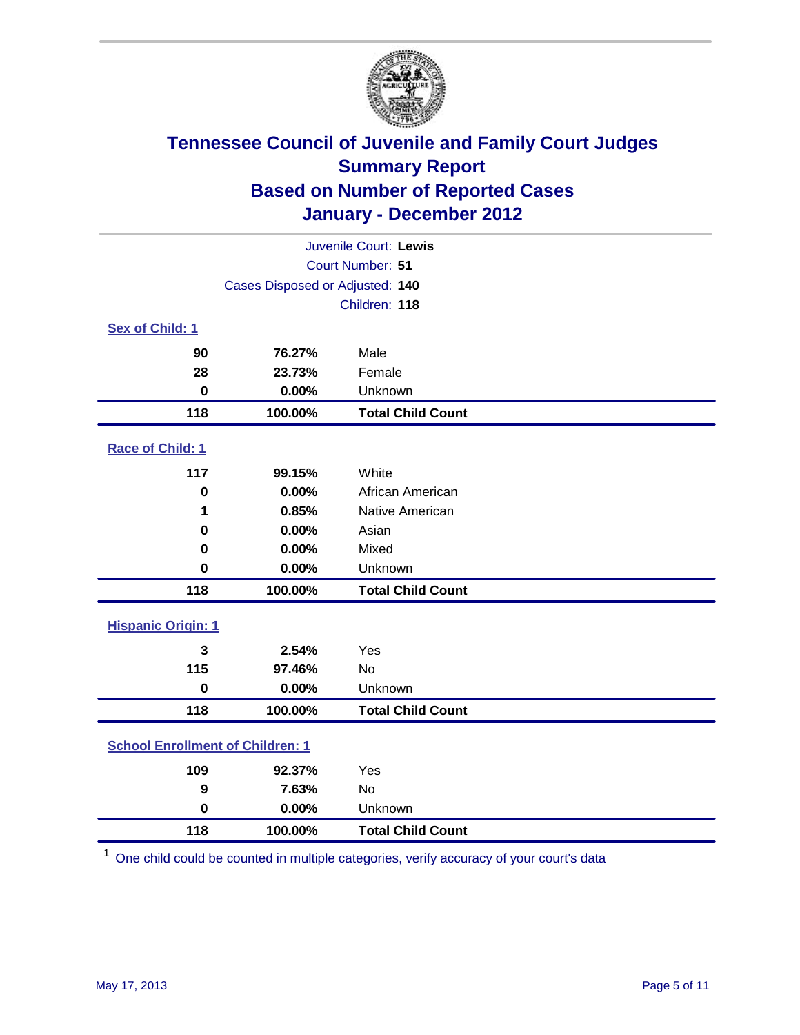

| Juvenile Court: Lewis                   |                                 |                          |  |  |
|-----------------------------------------|---------------------------------|--------------------------|--|--|
| Court Number: 51                        |                                 |                          |  |  |
|                                         | Cases Disposed or Adjusted: 140 |                          |  |  |
|                                         |                                 | Children: 118            |  |  |
| Sex of Child: 1                         |                                 |                          |  |  |
| 90                                      | 76.27%                          | Male                     |  |  |
| 28                                      | 23.73%                          | Female                   |  |  |
| $\mathbf 0$                             | 0.00%                           | Unknown                  |  |  |
| 118                                     | 100.00%                         | <b>Total Child Count</b> |  |  |
| Race of Child: 1                        |                                 |                          |  |  |
| 117                                     | 99.15%                          | White                    |  |  |
| $\mathbf 0$                             | 0.00%                           | African American         |  |  |
| 1                                       | 0.85%                           | Native American          |  |  |
| 0                                       | 0.00%                           | Asian                    |  |  |
| 0                                       | 0.00%                           | Mixed                    |  |  |
| $\mathbf 0$                             | 0.00%                           | Unknown                  |  |  |
| 118                                     | 100.00%                         | <b>Total Child Count</b> |  |  |
| <b>Hispanic Origin: 1</b>               |                                 |                          |  |  |
| 3                                       | 2.54%                           | Yes                      |  |  |
| 115                                     | 97.46%                          | No                       |  |  |
| $\mathbf 0$                             | 0.00%                           | Unknown                  |  |  |
| 118                                     | 100.00%                         | <b>Total Child Count</b> |  |  |
| <b>School Enrollment of Children: 1</b> |                                 |                          |  |  |
| 109                                     | 92.37%                          | Yes                      |  |  |
| 9                                       | 7.63%                           | No                       |  |  |
| $\mathbf 0$                             | 0.00%                           | Unknown                  |  |  |
| 118                                     | 100.00%                         | <b>Total Child Count</b> |  |  |

One child could be counted in multiple categories, verify accuracy of your court's data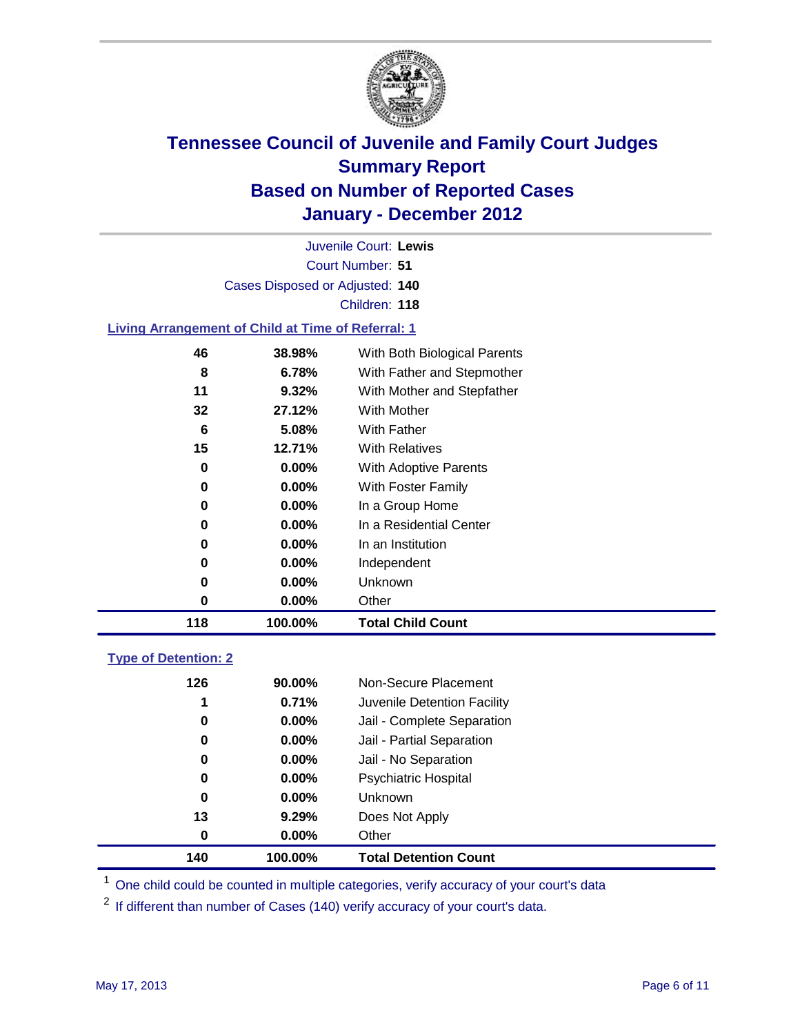

Court Number: **51** Juvenile Court: **Lewis** Cases Disposed or Adjusted: **140** Children: **118**

### **Living Arrangement of Child at Time of Referral: 1**

| 118 | 100.00%  | <b>Total Child Count</b>     |
|-----|----------|------------------------------|
| 0   | 0.00%    | Other                        |
| 0   | $0.00\%$ | Unknown                      |
| 0   | $0.00\%$ | Independent                  |
| 0   | $0.00\%$ | In an Institution            |
| 0   | $0.00\%$ | In a Residential Center      |
| 0   | $0.00\%$ | In a Group Home              |
| 0   | $0.00\%$ | With Foster Family           |
| 0   | $0.00\%$ | With Adoptive Parents        |
| 15  | 12.71%   | <b>With Relatives</b>        |
| 6   | 5.08%    | With Father                  |
| 32  | 27.12%   | <b>With Mother</b>           |
| 11  | 9.32%    | With Mother and Stepfather   |
| 8   | 6.78%    | With Father and Stepmother   |
| 46  | 38.98%   | With Both Biological Parents |
|     |          |                              |

#### **Type of Detention: 2**

| 140 | 100.00%  | <b>Total Detention Count</b> |  |
|-----|----------|------------------------------|--|
| 0   | 0.00%    | Other                        |  |
| 13  | 9.29%    | Does Not Apply               |  |
| 0   | $0.00\%$ | <b>Unknown</b>               |  |
| 0   | $0.00\%$ | Psychiatric Hospital         |  |
| 0   | 0.00%    | Jail - No Separation         |  |
| 0   | $0.00\%$ | Jail - Partial Separation    |  |
| 0   | $0.00\%$ | Jail - Complete Separation   |  |
| 1   | 0.71%    | Juvenile Detention Facility  |  |
| 126 | 90.00%   | Non-Secure Placement         |  |
|     |          |                              |  |

<sup>1</sup> One child could be counted in multiple categories, verify accuracy of your court's data

<sup>2</sup> If different than number of Cases (140) verify accuracy of your court's data.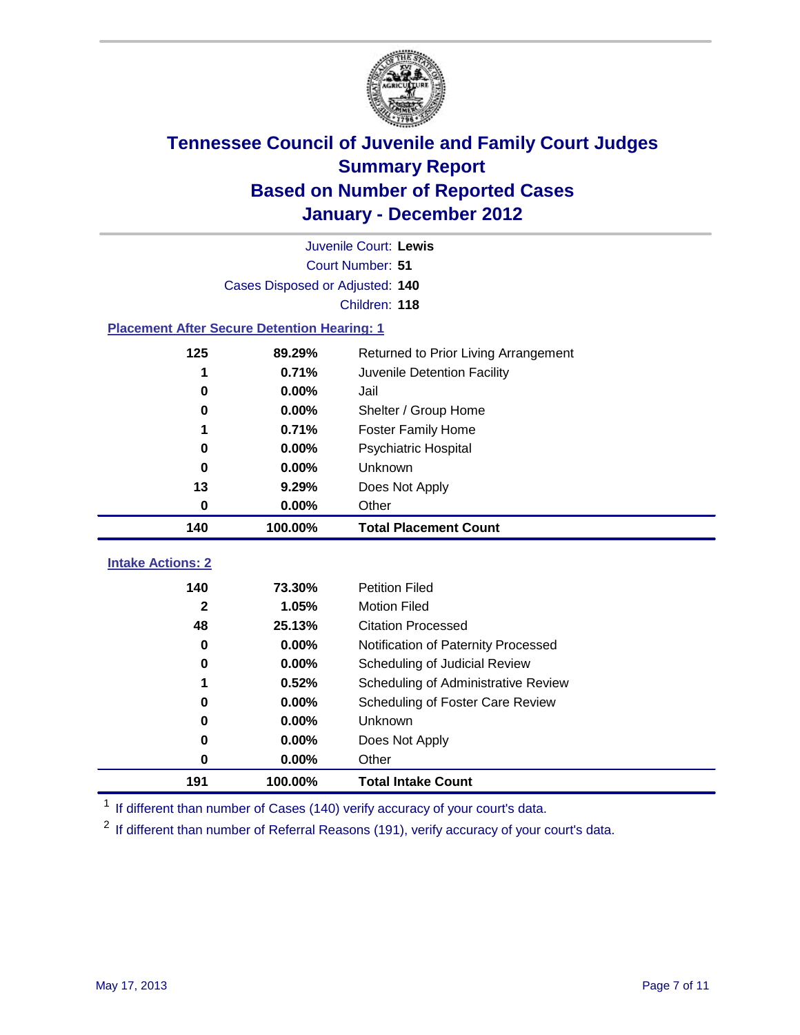

|                                                    | Juvenile Court: Lewis                          |                                     |  |  |  |
|----------------------------------------------------|------------------------------------------------|-------------------------------------|--|--|--|
|                                                    | Court Number: 51                               |                                     |  |  |  |
|                                                    | Cases Disposed or Adjusted: 140                |                                     |  |  |  |
|                                                    |                                                | Children: 118                       |  |  |  |
| <b>Placement After Secure Detention Hearing: 1</b> |                                                |                                     |  |  |  |
| 125                                                | 89.29%<br>Returned to Prior Living Arrangement |                                     |  |  |  |
| 1                                                  | 0.71%                                          | Juvenile Detention Facility         |  |  |  |
| $\bf{0}$                                           | 0.00%                                          | Jail                                |  |  |  |
| $\bf{0}$                                           | 0.00%                                          | Shelter / Group Home                |  |  |  |
| 1                                                  | 0.71%                                          | <b>Foster Family Home</b>           |  |  |  |
| 0                                                  | 0.00%                                          | Psychiatric Hospital                |  |  |  |
| 0                                                  | 0.00%                                          | Unknown                             |  |  |  |
| 13                                                 | 9.29%                                          | Does Not Apply                      |  |  |  |
| $\bf{0}$                                           | 0.00%                                          | Other                               |  |  |  |
| 140                                                | 100.00%                                        | <b>Total Placement Count</b>        |  |  |  |
|                                                    |                                                |                                     |  |  |  |
| <b>Intake Actions: 2</b>                           |                                                |                                     |  |  |  |
| 140                                                | 73.30%                                         | <b>Petition Filed</b>               |  |  |  |
| $\mathbf{2}$                                       | 1.05%                                          | <b>Motion Filed</b>                 |  |  |  |
| 48                                                 | 25.13%                                         | <b>Citation Processed</b>           |  |  |  |
| 0                                                  | 0.00%                                          | Notification of Paternity Processed |  |  |  |
| $\bf{0}$                                           | 0.00%                                          | Scheduling of Judicial Review       |  |  |  |
| 1                                                  | 0.52%                                          | Scheduling of Administrative Review |  |  |  |
| 0                                                  | 0.00%                                          | Scheduling of Foster Care Review    |  |  |  |
| $\bf{0}$                                           | 0.00%                                          | Unknown                             |  |  |  |
| 0                                                  | 0.00%                                          | Does Not Apply                      |  |  |  |
| 0                                                  | 0.00%                                          | Other                               |  |  |  |
| 191                                                | 100.00%                                        | <b>Total Intake Count</b>           |  |  |  |

<sup>1</sup> If different than number of Cases (140) verify accuracy of your court's data.

<sup>2</sup> If different than number of Referral Reasons (191), verify accuracy of your court's data.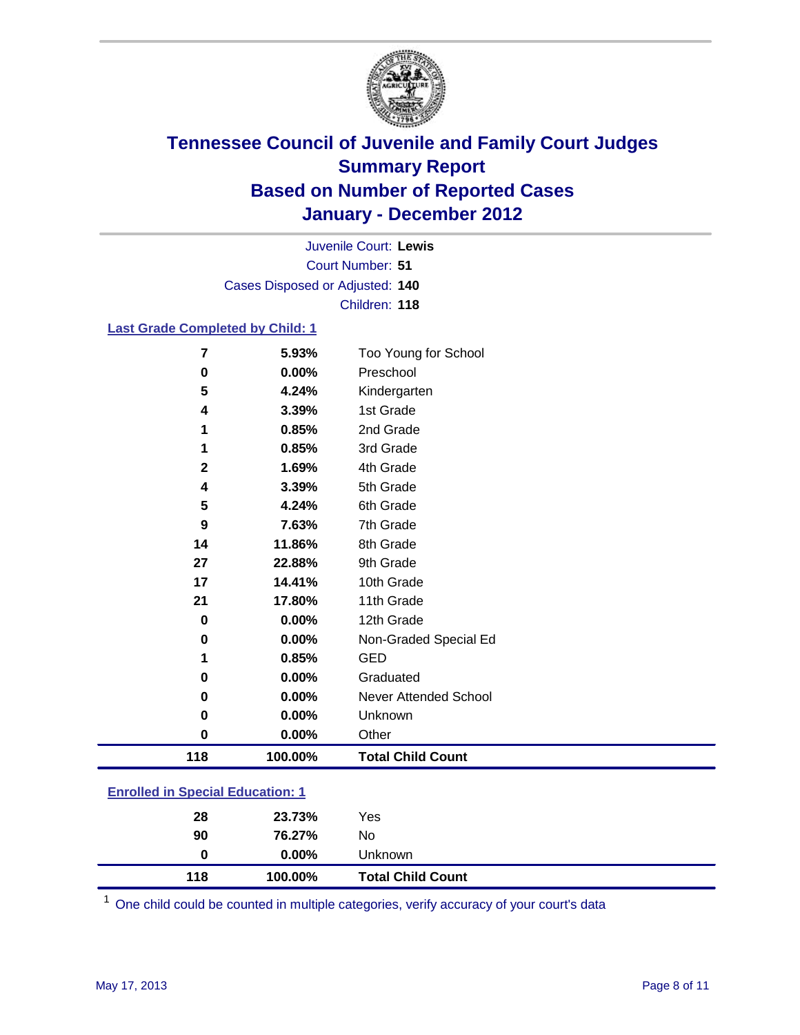

Court Number: **51** Juvenile Court: **Lewis** Cases Disposed or Adjusted: **140** Children: **118**

### **Last Grade Completed by Child: 1**

| 7                                       | 5.93%   | Too Young for School         |  |
|-----------------------------------------|---------|------------------------------|--|
| 0                                       | 0.00%   | Preschool                    |  |
| 5                                       | 4.24%   | Kindergarten                 |  |
| 4                                       | 3.39%   | 1st Grade                    |  |
| 1                                       | 0.85%   | 2nd Grade                    |  |
| 1                                       | 0.85%   | 3rd Grade                    |  |
| $\mathbf 2$                             | 1.69%   | 4th Grade                    |  |
| 4                                       | 3.39%   | 5th Grade                    |  |
| 5                                       | 4.24%   | 6th Grade                    |  |
| 9                                       | 7.63%   | 7th Grade                    |  |
| 14                                      | 11.86%  | 8th Grade                    |  |
| 27                                      | 22.88%  | 9th Grade                    |  |
| 17                                      | 14.41%  | 10th Grade                   |  |
| 21                                      | 17.80%  | 11th Grade                   |  |
| $\bf{0}$                                | 0.00%   | 12th Grade                   |  |
| 0                                       | 0.00%   | Non-Graded Special Ed        |  |
| 1                                       | 0.85%   | <b>GED</b>                   |  |
| 0                                       | 0.00%   | Graduated                    |  |
| 0                                       | 0.00%   | <b>Never Attended School</b> |  |
| 0                                       | 0.00%   | Unknown                      |  |
| $\mathbf 0$                             | 0.00%   | Other                        |  |
| 118                                     | 100.00% | <b>Total Child Count</b>     |  |
| <b>Enrolled in Special Education: 1</b> |         |                              |  |

| 118 | 100.00%  | <b>Total Child Count</b> |
|-----|----------|--------------------------|
| 0   | $0.00\%$ | <b>Unknown</b>           |
| 90  | 76.27%   | No                       |
| 28  | 23.73%   | Yes                      |
|     |          |                          |

One child could be counted in multiple categories, verify accuracy of your court's data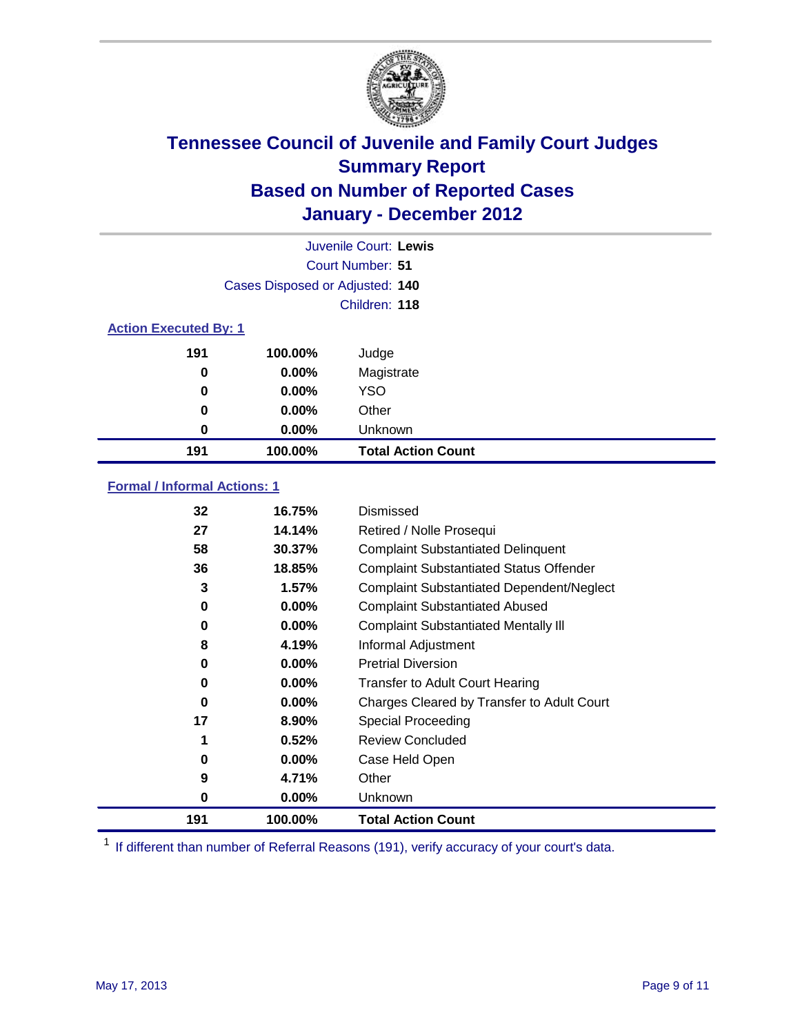

| Juvenile Court: Lewis        |                                 |                           |  |  |  |
|------------------------------|---------------------------------|---------------------------|--|--|--|
|                              | Court Number: 51                |                           |  |  |  |
|                              | Cases Disposed or Adjusted: 140 |                           |  |  |  |
|                              |                                 | Children: 118             |  |  |  |
| <b>Action Executed By: 1</b> |                                 |                           |  |  |  |
| 191                          | 100.00%                         | Judge                     |  |  |  |
| $\bf{0}$                     | $0.00\%$                        | Magistrate                |  |  |  |
| $\bf{0}$                     | 0.00%                           | <b>YSO</b>                |  |  |  |
| 0                            | 0.00%                           | Other                     |  |  |  |
| 0                            | 0.00%                           | Unknown                   |  |  |  |
| 191                          | 100.00%                         | <b>Total Action Count</b> |  |  |  |

### **Formal / Informal Actions: 1**

| 32  | 16.75%   | Dismissed                                        |
|-----|----------|--------------------------------------------------|
| 27  | 14.14%   | Retired / Nolle Prosequi                         |
| 58  | 30.37%   | <b>Complaint Substantiated Delinquent</b>        |
| 36  | 18.85%   | <b>Complaint Substantiated Status Offender</b>   |
| 3   | 1.57%    | <b>Complaint Substantiated Dependent/Neglect</b> |
| 0   | 0.00%    | <b>Complaint Substantiated Abused</b>            |
| 0   | $0.00\%$ | <b>Complaint Substantiated Mentally III</b>      |
| 8   | 4.19%    | Informal Adjustment                              |
| 0   | $0.00\%$ | <b>Pretrial Diversion</b>                        |
| 0   | 0.00%    | <b>Transfer to Adult Court Hearing</b>           |
| 0   | $0.00\%$ | Charges Cleared by Transfer to Adult Court       |
| 17  | 8.90%    | Special Proceeding                               |
|     | 0.52%    | <b>Review Concluded</b>                          |
| 0   | $0.00\%$ | Case Held Open                                   |
| 9   | 4.71%    | Other                                            |
| 0   | $0.00\%$ | Unknown                                          |
| 191 | 100.00%  | <b>Total Action Count</b>                        |

<sup>1</sup> If different than number of Referral Reasons (191), verify accuracy of your court's data.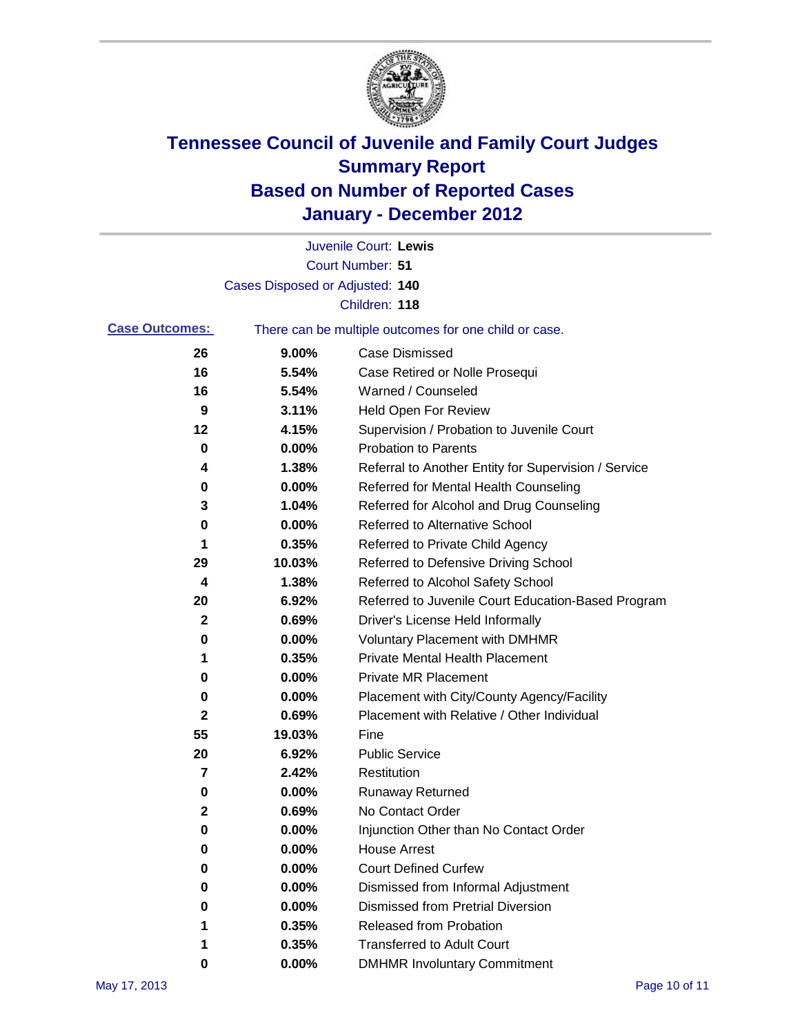

|                       |                                 | Juvenile Court: Lewis                                 |
|-----------------------|---------------------------------|-------------------------------------------------------|
|                       |                                 | <b>Court Number: 51</b>                               |
|                       | Cases Disposed or Adjusted: 140 |                                                       |
|                       |                                 | Children: 118                                         |
| <b>Case Outcomes:</b> |                                 | There can be multiple outcomes for one child or case. |
| 26                    | 9.00%                           | <b>Case Dismissed</b>                                 |
| 16                    | 5.54%                           | Case Retired or Nolle Prosequi                        |
| 16                    | 5.54%                           | Warned / Counseled                                    |
| 9                     | 3.11%                           | Held Open For Review                                  |
| 12                    | 4.15%                           | Supervision / Probation to Juvenile Court             |
| 0                     | 0.00%                           | <b>Probation to Parents</b>                           |
| 4                     | 1.38%                           | Referral to Another Entity for Supervision / Service  |
| 0                     | 0.00%                           | Referred for Mental Health Counseling                 |
| 3                     | 1.04%                           | Referred for Alcohol and Drug Counseling              |
| 0                     | 0.00%                           | Referred to Alternative School                        |
| 1                     | 0.35%                           | Referred to Private Child Agency                      |
| 29                    | 10.03%                          | Referred to Defensive Driving School                  |
| 4                     | 1.38%                           | Referred to Alcohol Safety School                     |
| 20                    | 6.92%                           | Referred to Juvenile Court Education-Based Program    |
| 2                     | 0.69%                           | Driver's License Held Informally                      |
| 0                     | 0.00%                           | <b>Voluntary Placement with DMHMR</b>                 |
| 1                     | 0.35%                           | <b>Private Mental Health Placement</b>                |
| 0                     | 0.00%                           | <b>Private MR Placement</b>                           |
| 0                     | 0.00%                           | Placement with City/County Agency/Facility            |
| 2                     | 0.69%                           | Placement with Relative / Other Individual            |
| 55                    | 19.03%                          | Fine                                                  |
| 20                    | 6.92%                           | <b>Public Service</b>                                 |
| 7                     | 2.42%                           | Restitution                                           |
| 0                     | 0.00%                           | <b>Runaway Returned</b>                               |
| 2                     | 0.69%                           | No Contact Order                                      |
| 0                     | 0.00%                           | Injunction Other than No Contact Order                |
| 0                     | 0.00%                           | <b>House Arrest</b>                                   |
| 0                     | 0.00%                           | <b>Court Defined Curfew</b>                           |
| 0                     | 0.00%                           | Dismissed from Informal Adjustment                    |
| 0                     | 0.00%                           | <b>Dismissed from Pretrial Diversion</b>              |
| 1                     | 0.35%                           | Released from Probation                               |
| 1                     | 0.35%                           | <b>Transferred to Adult Court</b>                     |
| 0                     | 0.00%                           | <b>DMHMR Involuntary Commitment</b>                   |